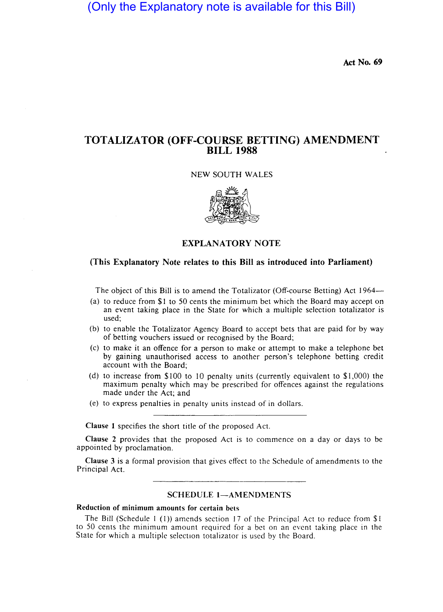(Only the Explanatory note is available for this Bill)

Act No. 69

# TOTALIZATOR (OFF-COURSE BETTING) AMENDMENT BILL 1988

### NEW SOUTH WALES



# EXPLANATORY NOTE

# (This Explanatory Note relates to this Bill as introduced into Parliament)

The object of this Bill is to amend the Totalizator (Off-course Betting) Act 1964-

- (a) to reduce from \$1 to 50 cents the minimum bet which the Board may accept on an event taking place in the State for which a multiple selection totalizator is used;
- (b) to enable the Totalizator Agency Board to accept bets that are paid for by way of betting vouchers issued or recognised by the Board;
- (c) to make it an offence for a person to make or attempt to make a telephone bet by gaining unauthorised access to another person's telephone betting credit account with the Board;
- (d) to increase from \$100 to 10 penalty units (currently equivalent to \$1,000) the maximum penalty which may be prescribed for offences against the regulations made under the Act; and
- (e) to express penalties in penalty units instead of in dollars.

Clause I specifies the short title of the proposed Act.

Clause 2 provides that the proposed Act is to commence on a day or days to be appointed by proclamation.

Clause 3 is a formal provision that gives effect to the Schedule of amendments to the Principal Act.

# SCHEDULE 1-AMENDMENTS

#### Reduction of minimum amounts for certain bets

The Bill (Schedule 1 (1)) amends section 17 of the Principal Act to reduce from  $$1$ to 50 cents the minimum amount required for a bet on an event taking place in the State for which a multiple selection totalizator is used by the Board.